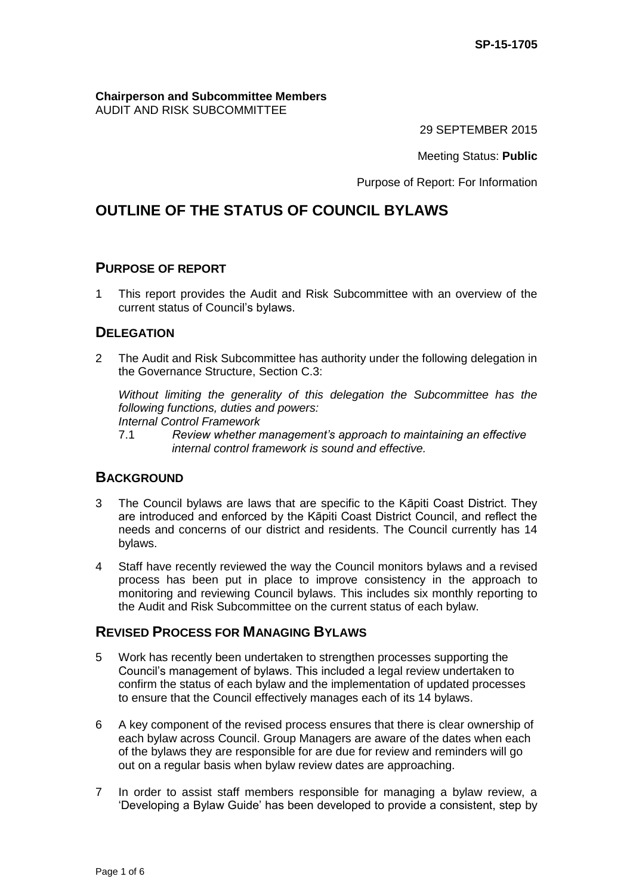**Chairperson and Subcommittee Members** AUDIT AND RISK SUBCOMMITTEE

29 SEPTEMBER 2015

Meeting Status: **Public**

Purpose of Report: For Information

# **OUTLINE OF THE STATUS OF COUNCIL BYLAWS**

#### **PURPOSE OF REPORT**

1 This report provides the Audit and Risk Subcommittee with an overview of the current status of Council's bylaws.

## **DELEGATION**

2 The Audit and Risk Subcommittee has authority under the following delegation in the Governance Structure, Section C.3:

*Without limiting the generality of this delegation the Subcommittee has the following functions, duties and powers:*

*Internal Control Framework*

7.1 *Review whether management's approach to maintaining an effective internal control framework is sound and effective.*

## **BACKGROUND**

- 3 The Council bylaws are laws that are specific to the Kāpiti Coast District. They are introduced and enforced by the Kāpiti Coast District Council, and reflect the needs and concerns of our district and residents. The Council currently has 14 bylaws.
- 4 Staff have recently reviewed the way the Council monitors bylaws and a revised process has been put in place to improve consistency in the approach to monitoring and reviewing Council bylaws. This includes six monthly reporting to the Audit and Risk Subcommittee on the current status of each bylaw.

#### **REVISED PROCESS FOR MANAGING BYLAWS**

- 5 Work has recently been undertaken to strengthen processes supporting the Council's management of bylaws. This included a legal review undertaken to confirm the status of each bylaw and the implementation of updated processes to ensure that the Council effectively manages each of its 14 bylaws.
- 6 A key component of the revised process ensures that there is clear ownership of each bylaw across Council. Group Managers are aware of the dates when each of the bylaws they are responsible for are due for review and reminders will go out on a regular basis when bylaw review dates are approaching.
- 7 In order to assist staff members responsible for managing a bylaw review, a 'Developing a Bylaw Guide' has been developed to provide a consistent, step by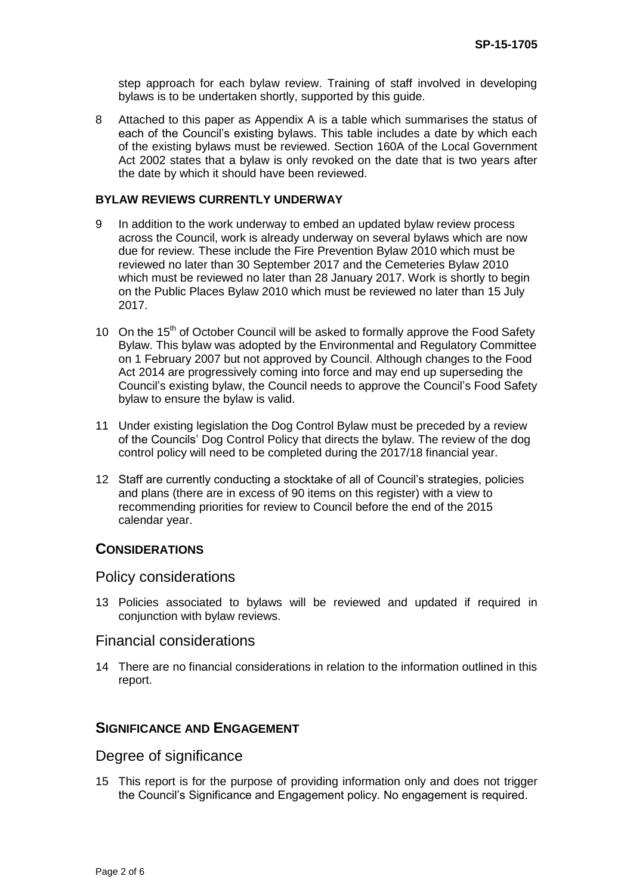step approach for each bylaw review. Training of staff involved in developing bylaws is to be undertaken shortly, supported by this guide.

8 Attached to this paper as Appendix A is a table which summarises the status of each of the Council's existing bylaws. This table includes a date by which each of the existing bylaws must be reviewed. Section 160A of the Local Government Act 2002 states that a bylaw is only revoked on the date that is two years after the date by which it should have been reviewed.

#### **BYLAW REVIEWS CURRENTLY UNDERWAY**

- 9 In addition to the work underway to embed an updated bylaw review process across the Council, work is already underway on several bylaws which are now due for review. These include the Fire Prevention Bylaw 2010 which must be reviewed no later than 30 September 2017 and the Cemeteries Bylaw 2010 which must be reviewed no later than 28 January 2017. Work is shortly to begin on the Public Places Bylaw 2010 which must be reviewed no later than 15 July 2017.
- 10 On the 15<sup>th</sup> of October Council will be asked to formally approve the Food Safety Bylaw. This bylaw was adopted by the Environmental and Regulatory Committee on 1 February 2007 but not approved by Council. Although changes to the Food Act 2014 are progressively coming into force and may end up superseding the Council's existing bylaw, the Council needs to approve the Council's Food Safety bylaw to ensure the bylaw is valid.
- 11 Under existing legislation the Dog Control Bylaw must be preceded by a review of the Councils' Dog Control Policy that directs the bylaw. The review of the dog control policy will need to be completed during the 2017/18 financial year.
- 12 Staff are currently conducting a stocktake of all of Council's strategies, policies and plans (there are in excess of 90 items on this register) with a view to recommending priorities for review to Council before the end of the 2015 calendar year.

#### **CONSIDERATIONS**

#### Policy considerations

13 Policies associated to bylaws will be reviewed and updated if required in conjunction with bylaw reviews.

#### Financial considerations

14 There are no financial considerations in relation to the information outlined in this report.

## **SIGNIFICANCE AND ENGAGEMENT**

#### Degree of significance

15 This report is for the purpose of providing information only and does not trigger the Council's Significance and Engagement policy. No engagement is required.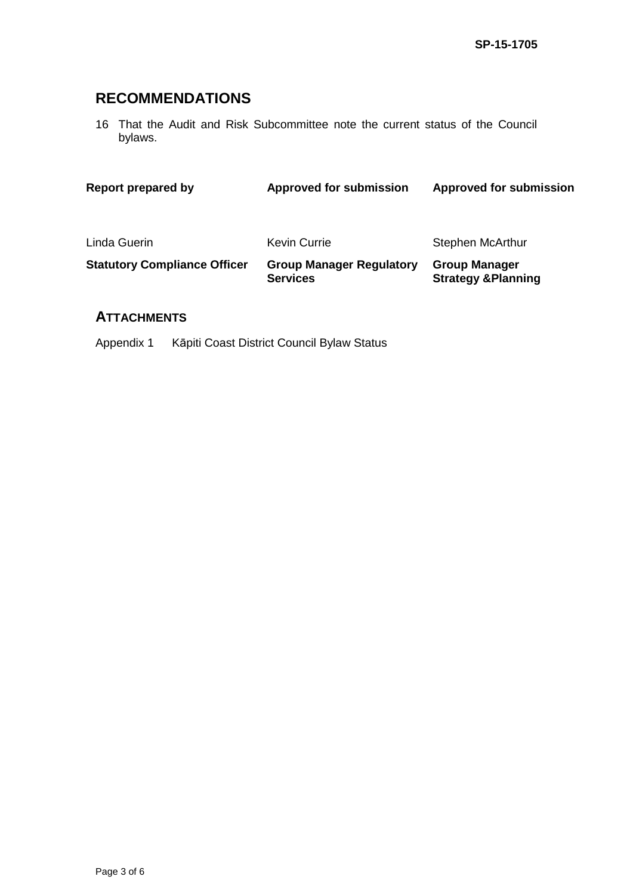# **RECOMMENDATIONS**

16 That the Audit and Risk Subcommittee note the current status of the Council bylaws.

| <b>Report prepared by</b>           | <b>Approved for submission</b>                     | <b>Approved for submission</b>                         |  |
|-------------------------------------|----------------------------------------------------|--------------------------------------------------------|--|
| Linda Guerin                        | <b>Kevin Currie</b>                                | Stephen McArthur                                       |  |
| <b>Statutory Compliance Officer</b> | <b>Group Manager Regulatory</b><br><b>Services</b> | <b>Group Manager</b><br><b>Strategy &amp; Planning</b> |  |

## **ATTACHMENTS**

Appendix 1 Kāpiti Coast District Council Bylaw Status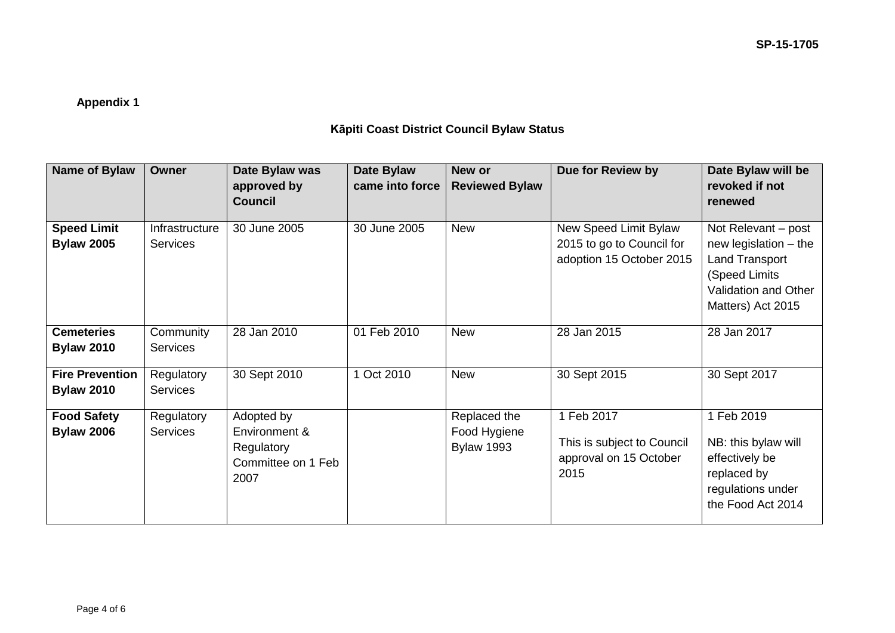# **Appendix 1**

# **Kāpiti Coast District Council Bylaw Status**

| Name of Bylaw                               | Owner                             | Date Bylaw was<br>approved by<br><b>Council</b>                         | Date Bylaw<br>came into force | New or<br><b>Reviewed Bylaw</b>                   | Due for Review by                                                              | Date Bylaw will be<br>revoked if not<br>renewed                                                                                       |
|---------------------------------------------|-----------------------------------|-------------------------------------------------------------------------|-------------------------------|---------------------------------------------------|--------------------------------------------------------------------------------|---------------------------------------------------------------------------------------------------------------------------------------|
| <b>Speed Limit</b><br><b>Bylaw 2005</b>     | Infrastructure<br><b>Services</b> | 30 June 2005                                                            | 30 June 2005                  | <b>New</b>                                        | New Speed Limit Bylaw<br>2015 to go to Council for<br>adoption 15 October 2015 | Not Relevant - post<br>new legislation $-$ the<br>Land Transport<br>(Speed Limits<br><b>Validation and Other</b><br>Matters) Act 2015 |
| <b>Cemeteries</b><br><b>Bylaw 2010</b>      | Community<br><b>Services</b>      | 28 Jan 2010                                                             | 01 Feb 2010                   | <b>New</b>                                        | 28 Jan 2015                                                                    | 28 Jan 2017                                                                                                                           |
| <b>Fire Prevention</b><br><b>Bylaw 2010</b> | Regulatory<br><b>Services</b>     | 30 Sept 2010                                                            | 1 Oct 2010                    | <b>New</b>                                        | 30 Sept 2015                                                                   | 30 Sept 2017                                                                                                                          |
| <b>Food Safety</b><br><b>Bylaw 2006</b>     | Regulatory<br><b>Services</b>     | Adopted by<br>Environment &<br>Regulatory<br>Committee on 1 Feb<br>2007 |                               | Replaced the<br>Food Hygiene<br><b>Bylaw 1993</b> | 1 Feb 2017<br>This is subject to Council<br>approval on 15 October<br>2015     | 1 Feb 2019<br>NB: this bylaw will<br>effectively be<br>replaced by<br>regulations under<br>the Food Act 2014                          |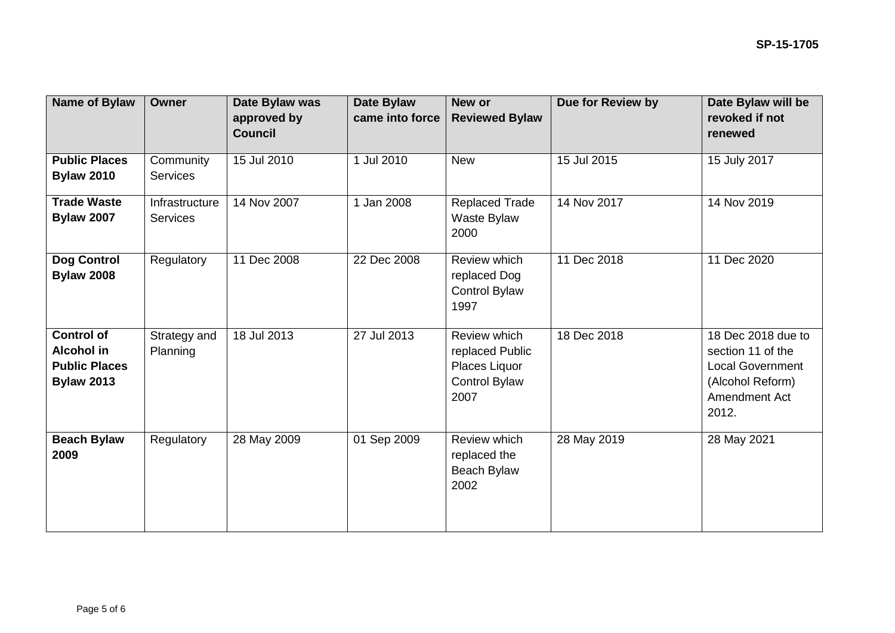| Name of Bylaw                                                                | <b>Owner</b>                      | Date Bylaw was<br>approved by<br><b>Council</b> | Date Bylaw<br>came into force | New or<br><b>Reviewed Bylaw</b>                                           | Due for Review by | Date Bylaw will be<br>revoked if not<br>renewed                                                                  |
|------------------------------------------------------------------------------|-----------------------------------|-------------------------------------------------|-------------------------------|---------------------------------------------------------------------------|-------------------|------------------------------------------------------------------------------------------------------------------|
| <b>Public Places</b><br><b>Bylaw 2010</b>                                    | Community<br><b>Services</b>      | 15 Jul 2010                                     | 1 Jul 2010                    | <b>New</b>                                                                | 15 Jul 2015       | 15 July 2017                                                                                                     |
| <b>Trade Waste</b><br><b>Bylaw 2007</b>                                      | Infrastructure<br><b>Services</b> | 14 Nov 2007                                     | 1 Jan 2008                    | Replaced Trade<br>Waste Bylaw<br>2000                                     | 14 Nov 2017       | 14 Nov 2019                                                                                                      |
| <b>Dog Control</b><br><b>Bylaw 2008</b>                                      | Regulatory                        | 11 Dec 2008                                     | 22 Dec 2008                   | Review which<br>replaced Dog<br>Control Bylaw<br>1997                     | 11 Dec 2018       | 11 Dec 2020                                                                                                      |
| Control of<br><b>Alcohol in</b><br><b>Public Places</b><br><b>Bylaw 2013</b> | Strategy and<br>Planning          | 18 Jul 2013                                     | 27 Jul 2013                   | Review which<br>replaced Public<br>Places Liquor<br>Control Bylaw<br>2007 | 18 Dec 2018       | 18 Dec 2018 due to<br>section 11 of the<br><b>Local Government</b><br>(Alcohol Reform)<br>Amendment Act<br>2012. |
| <b>Beach Bylaw</b><br>2009                                                   | Regulatory                        | 28 May 2009                                     | 01 Sep 2009                   | Review which<br>replaced the<br>Beach Bylaw<br>2002                       | 28 May 2019       | 28 May 2021                                                                                                      |